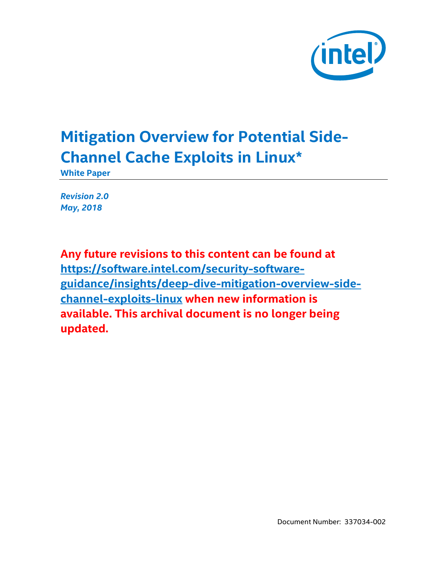

# **Mitigation Overview for Potential Side-Channel Cache Exploits in Linux\***

**White Paper**

*Revision 2.0 May, 2018*

**Any future revisions to this content can be found at [https://software.intel.com/security-software](https://software.intel.com/security-software-guidance/insights/deep-dive-mitigation-overview-side-channel-exploits-linux)[guidance/insights/deep-dive-mitigation-overview-side](https://software.intel.com/security-software-guidance/insights/deep-dive-mitigation-overview-side-channel-exploits-linux)[channel-exploits-linux](https://software.intel.com/security-software-guidance/insights/deep-dive-mitigation-overview-side-channel-exploits-linux) when new information is available. This archival document is no longer being updated.**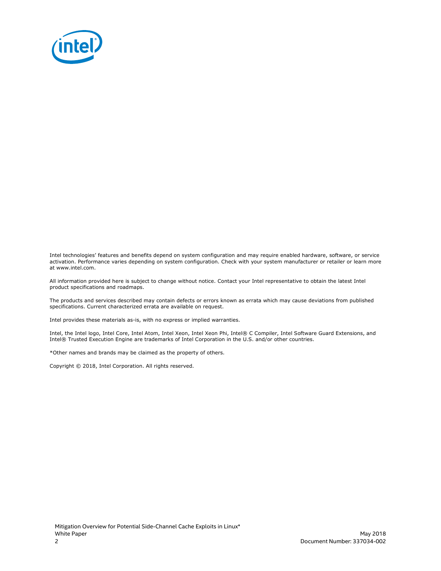

Intel technologies' features and benefits depend on system configuration and may require enabled hardware, software, or service activation. Performance varies depending on system configuration. Check with your system manufacturer or retailer or learn more at www.intel.com.

All information provided here is subject to change without notice. Contact your Intel representative to obtain the latest Intel product specifications and roadmaps.

The products and services described may contain defects or errors known as errata which may cause deviations from published specifications. Current characterized errata are available on request.

Intel provides these materials as-is, with no express or implied warranties.

Intel, the Intel logo, Intel Core, Intel Atom, Intel Xeon, Intel Xeon Phi, Intel® C Compiler, Intel Software Guard Extensions, and Intel® Trusted Execution Engine are trademarks of Intel Corporation in the U.S. and/or other countries.

\*Other names and brands may be claimed as the property of others.

Copyright © 2018, Intel Corporation. All rights reserved.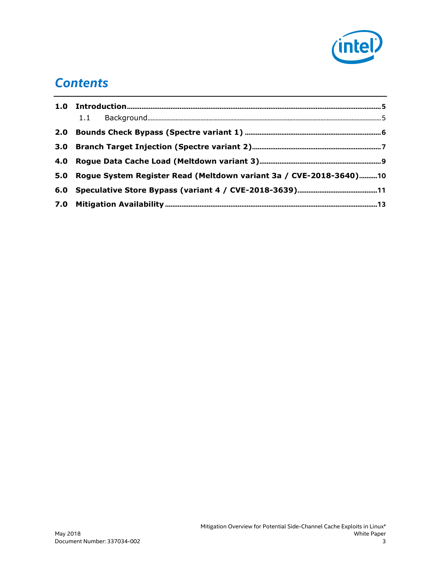

#### *Contents*

| 5.0 Rogue System Register Read (Meltdown variant 3a / CVE-2018-3640)10 |  |  |
|------------------------------------------------------------------------|--|--|
|                                                                        |  |  |
|                                                                        |  |  |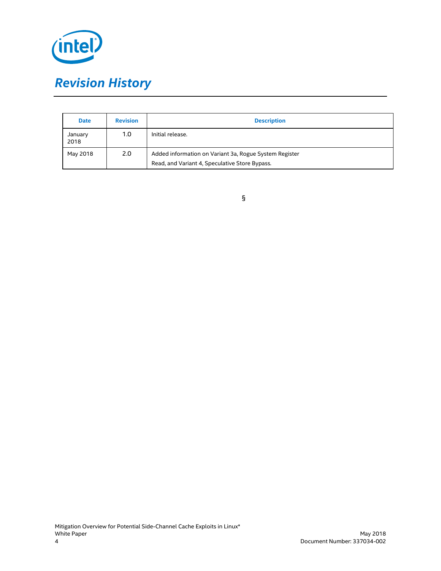

| <b>Date</b>     | <b>Revision</b> | <b>Description</b>                                                                                       |
|-----------------|-----------------|----------------------------------------------------------------------------------------------------------|
| January<br>2018 | 1.0             | Initial release.                                                                                         |
| May 2018        | 2.0             | Added information on Variant 3a, Rogue System Register<br>Read, and Variant 4, Speculative Store Bypass. |

§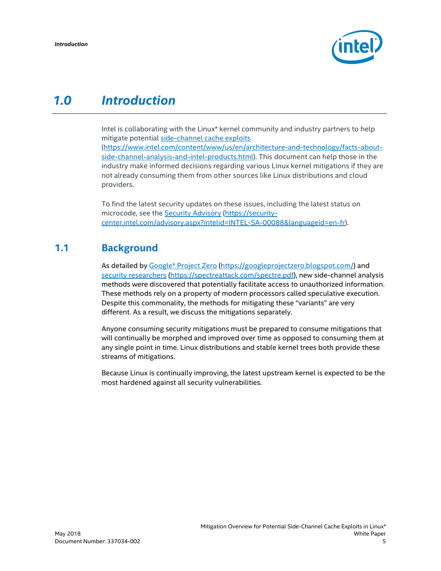

#### <span id="page-4-0"></span>*1.0 Introduction*

Intel is collaborating with the Linux\* kernel community and industry partners to help mitigate potential [side-channel cache exploits](https://www.intel.com/content/www/us/en/architecture-and-technology/facts-about-side-channel-analysis-and-intel-products.html) [\(https://www.intel.com/content/www/us/en/architecture-and-technology/facts-about](https://www.intel.com/content/www/us/en/architecture-and-technology/facts-about-side-channel-analysis-and-intel-products.html)[side-channel-analysis-and-intel-products.html\)](https://www.intel.com/content/www/us/en/architecture-and-technology/facts-about-side-channel-analysis-and-intel-products.html). This document can help those in the industry make informed decisions regarding various Linux kernel mitigations if they are not already consuming them from other sources like Linux distributions and cloud providers.

To find the latest security updates on these issues, including the latest status on microcode, see th[e Security Advisory](https://security-center.intel.com/advisory.aspx?intelid=INTEL-SA-00088&languageid=en-fr) [\(https://security](https://security-center.intel.com/advisory.aspx?intelid=INTEL-SA-00088&languageid=en-fr)[center.intel.com/advisory.aspx?intelid=INTEL-SA-00088&languageid=en-fr\)](https://security-center.intel.com/advisory.aspx?intelid=INTEL-SA-00088&languageid=en-fr).

#### **1.1 Background**

<span id="page-4-1"></span>As detailed by [Google\\* Project Zero](https://googleprojectzero.blogspot.com/) [\(https://googleprojectzero.blogspot.com/\)](https://googleprojectzero.blogspot.com/) and [security researchers](https://spectreattack.com/spectre.pdf) [\(https://spectreattack.com/spectre.pdf\)](https://spectreattack.com/spectre.pdf), new side-channel analysis methods were discovered that potentially facilitate access to unauthorized information. These methods rely on a property of modern processors called speculative execution. Despite this commonality, the methods for mitigating these "variants" are very different. As a result, we discuss the mitigations separately.

Anyone consuming security mitigations must be prepared to consume mitigations that will continually be morphed and improved over time as opposed to consuming them at any single point in time. Linux distributions and stable kernel trees both provide these streams of mitigations.

Because Linux is continually improving, the latest upstream kernel is expected to be the most hardened against all security vulnerabilities.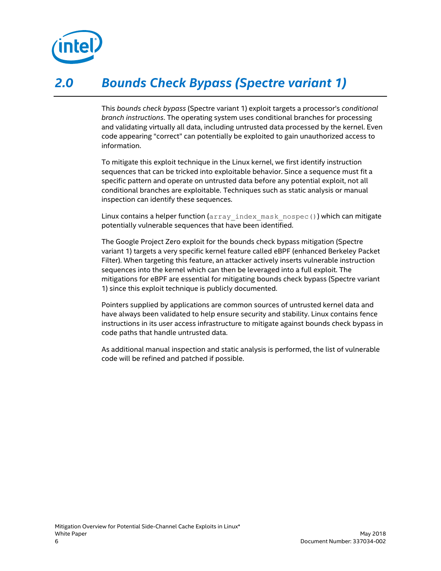

### *2.0 Bounds Check Bypass (Spectre variant 1)*

<span id="page-5-0"></span>This *bounds check bypass* (Spectre variant 1) exploit targets a processor's *conditional branch instructions*. The operating system uses conditional branches for processing and validating virtually all data, including untrusted data processed by the kernel. Even code appearing "correct" can potentially be exploited to gain unauthorized access to information.

To mitigate this exploit technique in the Linux kernel, we first identify instruction sequences that can be tricked into exploitable behavior. Since a sequence must fit a specific pattern and operate on untrusted data before any potential exploit, not all conditional branches are exploitable. Techniques such as static analysis or manual inspection can identify these sequences.

Linux contains a helper function (array index mask nospec()) which can mitigate potentially vulnerable sequences that have been identified.

The Google Project Zero exploit for the bounds check bypass mitigation (Spectre variant 1) targets a very specific kernel feature called eBPF (enhanced Berkeley Packet Filter). When targeting this feature, an attacker actively inserts vulnerable instruction sequences into the kernel which can then be leveraged into a full exploit. The mitigations for eBPF are essential for mitigating bounds check bypass (Spectre variant 1) since this exploit technique is publicly documented.

Pointers supplied by applications are common sources of untrusted kernel data and have always been validated to help ensure security and stability. Linux contains fence instructions in its user access infrastructure to mitigate against bounds check bypass in code paths that handle untrusted data.

As additional manual inspection and static analysis is performed, the list of vulnerable code will be refined and patched if possible.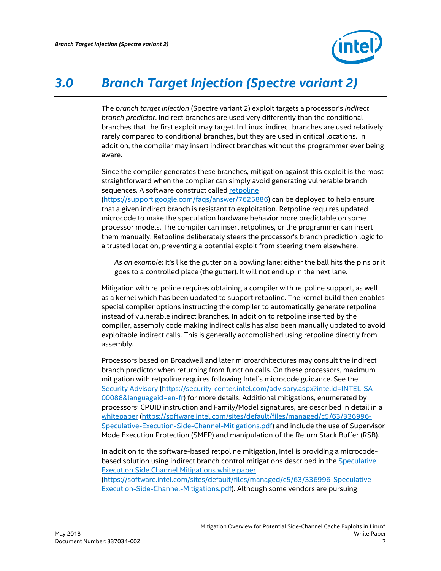

### *3.0 Branch Target Injection (Spectre variant 2)*

<span id="page-6-0"></span>The *branch target injection* (Spectre variant 2) exploit targets a processor's *indirect branch predictor*. Indirect branches are used very differently than the conditional branches that the first exploit may target. In Linux, indirect branches are used relatively rarely compared to conditional branches, but they are used in critical locations. In addition, the compiler may insert indirect branches without the programmer ever being aware.

Since the compiler generates these branches, mitigation against this exploit is the most straightforward when the compiler can simply avoid generating vulnerable branch sequences. A software construct calle[d retpoline](https://support.google.com/faqs/answer/7625886)

[\(https://support.google.com/faqs/answer/7625886\)](https://support.google.com/faqs/answer/7625886) can be deployed to help ensure that a given indirect branch is resistant to exploitation. Retpoline requires updated microcode to make the speculation hardware behavior more predictable on some processor models. The compiler can insert retpolines, or the programmer can insert them manually. Retpoline deliberately steers the processor's branch prediction logic to a trusted location, preventing a potential exploit from steering them elsewhere.

*As an example*: It's like the gutter on a bowling lane: either the ball hits the pins or it goes to a controlled place (the gutter). It will not end up in the next lane.

Mitigation with retpoline requires obtaining a compiler with retpoline support, as well as a kernel which has been updated to support retpoline. The kernel build then enables special compiler options instructing the compiler to automatically generate retpoline instead of vulnerable indirect branches. In addition to retpoline inserted by the compiler, assembly code making indirect calls has also been manually updated to avoid exploitable indirect calls. This is generally accomplished using retpoline directly from assembly.

Processors based on Broadwell and later microarchitectures may consult the indirect branch predictor when returning from function calls. On these processors, maximum mitigation with retpoline requires following Intel's microcode guidance. See the [Security Advisory](https://security-center.intel.com/advisory.aspx?intelid=INTEL-SA-00088&languageid=en-fr) [\(https://security-center.intel.com/advisory.aspx?intelid=INTEL-SA-](https://security-center.intel.com/advisory.aspx?intelid=INTEL-SA-00088&languageid=en-fr)[00088&languageid=en-fr\)](https://security-center.intel.com/advisory.aspx?intelid=INTEL-SA-00088&languageid=en-fr) for more details. Additional mitigations, enumerated by processors' CPUID instruction and Family/Model signatures, are described in detail in a whitepaper [\(https://software.intel.com/sites/default/files/managed/c5/63/336996-](https://software.intel.com/sites/default/files/managed/c5/63/336996-Speculative-Execution-Side-Channel-Mitigations.pdf) [Speculative-Execution-Side-Channel-Mitigations.pdf\)](https://software.intel.com/sites/default/files/managed/c5/63/336996-Speculative-Execution-Side-Channel-Mitigations.pdf) and include the use of Supervisor Mode Execution Protection (SMEP) and manipulation of the Return Stack Buffer (RSB).

In addition to the software-based retpoline mitigation, Intel is providing a microcodebased solution using indirect branch control mitigations described in the [Speculative](https://software.intel.com/sites/default/files/managed/c5/63/336996-Speculative-Execution-Side-Channel-Mitigations.pdf)  [Execution Side Channel Mitigations white paper](https://software.intel.com/sites/default/files/managed/c5/63/336996-Speculative-Execution-Side-Channel-Mitigations.pdf) [\(https://software.intel.com/sites/default/files/managed/c5/63/336996-Speculative-](https://software.intel.com/sites/default/files/managed/c5/63/336996-Speculative-Execution-Side-Channel-Mitigations.pdf)[Execution-Side-Channel-Mitigations.pdf\)](https://software.intel.com/sites/default/files/managed/c5/63/336996-Speculative-Execution-Side-Channel-Mitigations.pdf). Although some vendors are pursuing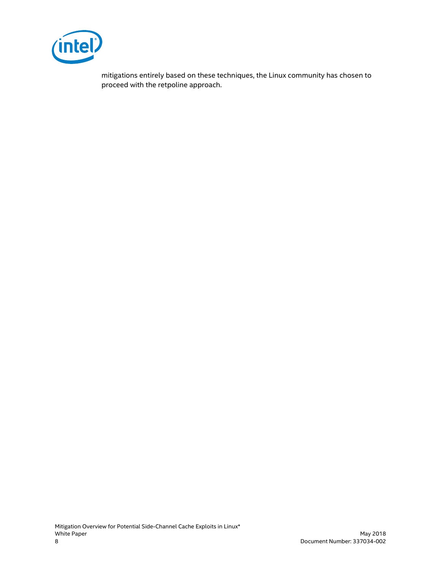

mitigations entirely based on these techniques, the Linux community has chosen to proceed with the retpoline approach.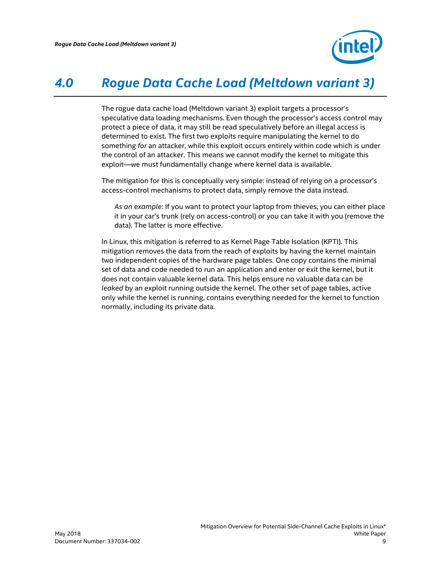

### *4.0 Rogue Data Cache Load (Meltdown variant 3)*

<span id="page-8-0"></span>The rogue data cache load (Meltdown variant 3) exploit targets a processor's speculative data loading mechanisms. Even though the processor's access control may protect a piece of data, it may still be read speculatively before an illegal access is determined to exist. The first two exploits require manipulating the kernel to do something *for* an attacker, while this exploit occurs entirely within code which is under the control of an attacker. This means we cannot modify the kernel to mitigate this exploit—we must fundamentally change where kernel data is available.

The mitigation for this is conceptually very simple: instead of relying on a processor's access-control mechanisms to protect data, simply remove the data instead.

*As an example*: If you want to protect your laptop from thieves, you can either place it in your car's trunk (rely on access-control) or you can take it with you (remove the data). The latter is more effective.

In Linux, this mitigation is referred to as Kernel Page Table Isolation (KPTI). This mitigation removes the data from the reach of exploits by having the kernel maintain two independent copies of the hardware page tables. One copy contains the minimal set of data and code needed to run an application and enter or exit the kernel, but it does not contain valuable kernel data. This helps ensure no valuable data can be *leaked* by an exploit running outside the kernel. The other set of page tables, active only while the kernel is running, contains everything needed for the kernel to function normally, including its private data.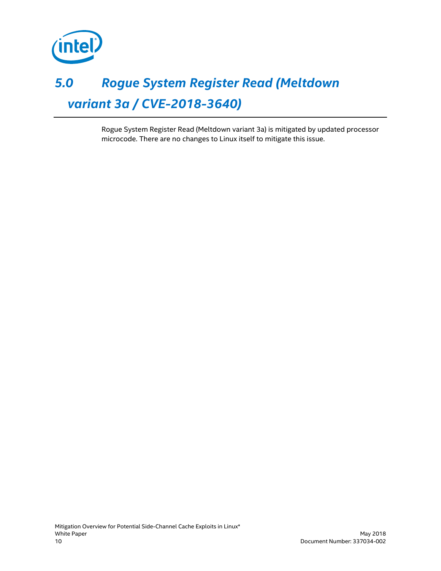

### <span id="page-9-0"></span>*5.0 Rogue System Register Read (Meltdown variant 3a / CVE-2018-3640)*

Rogue System Register Read (Meltdown variant 3a) is mitigated by updated processor microcode. There are no changes to Linux itself to mitigate this issue.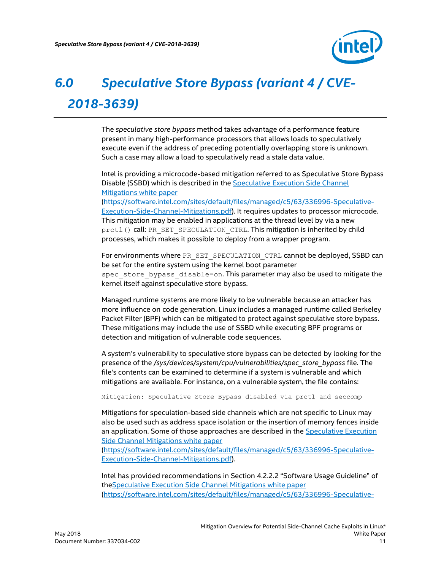

## <span id="page-10-0"></span>*6.0 Speculative Store Bypass (variant 4 / CVE-2018-3639)*

The *speculative store bypass* method takes advantage of a performance feature present in many high-performance processors that allows loads to speculatively execute even if the address of preceding potentially overlapping store is unknown. Such a case may allow a load to speculatively read a stale data value.

Intel is providing a microcode-based mitigation referred to as Speculative Store Bypass Disable (SSBD) which is described in the [Speculative Execution Side Channel](https://software.intel.com/sites/default/files/managed/c5/63/336996-Speculative-Execution-Side-Channel-Mitigations.pdf)  [Mitigations white paper](https://software.intel.com/sites/default/files/managed/c5/63/336996-Speculative-Execution-Side-Channel-Mitigations.pdf) [\(https://software.intel.com/sites/default/files/managed/c5/63/336996-Speculative-](https://software.intel.com/sites/default/files/managed/c5/63/336996-Speculative-Execution-Side-Channel-Mitigations.pdf)[Execution-Side-Channel-Mitigations.pdf\)](https://software.intel.com/sites/default/files/managed/c5/63/336996-Speculative-Execution-Side-Channel-Mitigations.pdf). It requires updates to processor microcode. This mitigation may be enabled in applications at the thread level by via a new prctl() call: PR\_SET\_SPECULATION\_CTRL. This mitigation is inherited by child processes, which makes it possible to deploy from a wrapper program.

For environments where PR\_SET\_SPECULATION\_CTRL cannot be deployed, SSBD can be set for the entire system using the kernel boot parameter spec\_store\_bypass\_disable=on. This parameter may also be used to mitigate the kernel itself against speculative store bypass.

Managed runtime systems are more likely to be vulnerable because an attacker has more influence on code generation. Linux includes a managed runtime called Berkeley Packet Filter (BPF) which can be mitigated to protect against speculative store bypass. These mitigations may include the use of SSBD while executing BPF programs or detection and mitigation of vulnerable code sequences.

A system's vulnerability to speculative store bypass can be detected by looking for the presence of the */sys/devices/system/cpu/vulnerabilities/spec\_store\_bypass* file. The file's contents can be examined to determine if a system is vulnerable and which mitigations are available. For instance, on a vulnerable system, the file contains:

Mitigation: Speculative Store Bypass disabled via prctl and seccomp

Mitigations for speculation-based side channels which are not specific to Linux may also be used such as address space isolation or the insertion of memory fences inside an application. Some of those approaches are described in the Speculative Execution [Side Channel Mitigations white paper](https://software.intel.com/sites/default/files/managed/c5/63/336996-Speculative-Execution-Side-Channel-Mitigations.pdf)

[\(https://software.intel.com/sites/default/files/managed/c5/63/336996-Speculative-](https://software.intel.com/sites/default/files/managed/c5/63/336996-Speculative-Execution-Side-Channel-Mitigations.pdf)[Execution-Side-Channel-Mitigations.pdf\)](https://software.intel.com/sites/default/files/managed/c5/63/336996-Speculative-Execution-Side-Channel-Mitigations.pdf).

Intel has provided recommendations in Section 4.2.2.2 "Software Usage Guideline" of th[eSpeculative Execution Side Channel Mitigations white paper](https://software.intel.com/sites/default/files/managed/c5/63/336996-Speculative-Execution-Side-Channel-Mitigations.pdf) [\(https://software.intel.com/sites/default/files/managed/c5/63/336996-Speculative-](https://software.intel.com/sites/default/files/managed/c5/63/336996-Speculative-Execution-Side-Channel-Mitigations.pdf)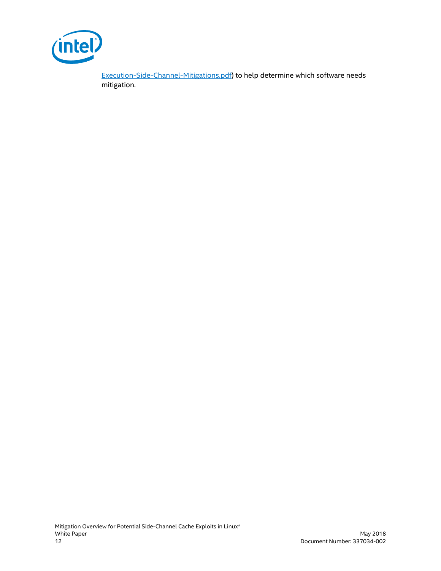

[Execution-Side-Channel-Mitigations.pdf\)](https://software.intel.com/sites/default/files/managed/c5/63/336996-Speculative-Execution-Side-Channel-Mitigations.pdf) to help determine which software needs mitigation.